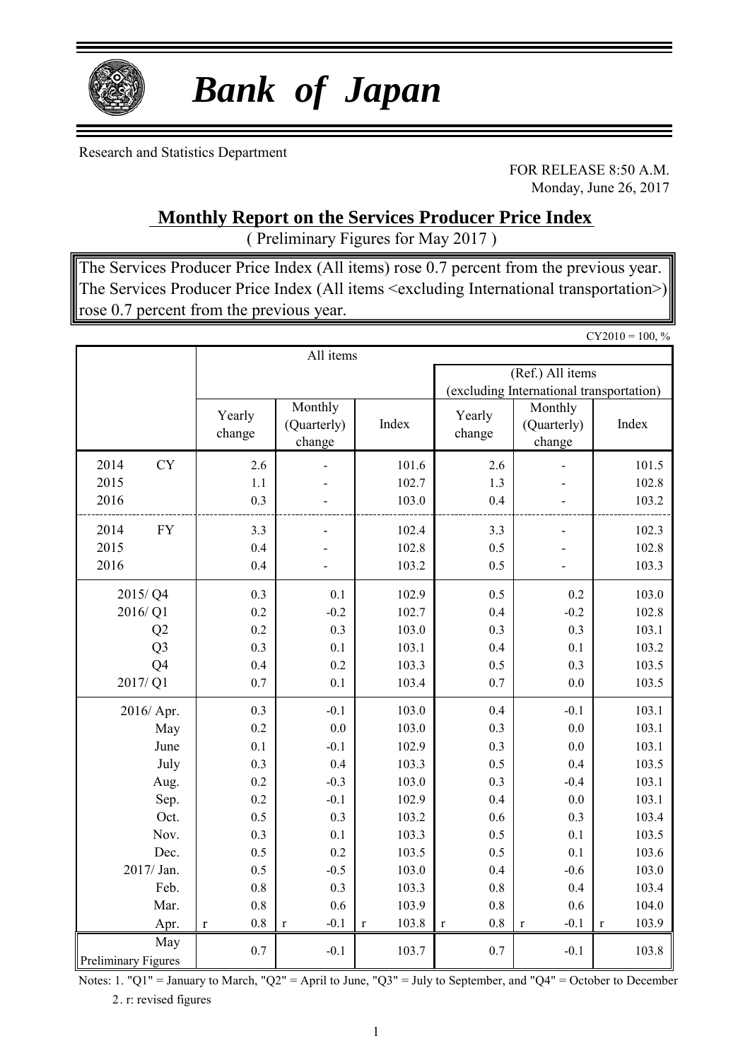

# *Bank of Japan*

Research and Statistics Department

FOR RELEASE 8:50 A.M. Monday, June 26, 2017

### **Monthly Report on the Services Producer Price Index**

( Preliminary Figures for May 2017 )

The Services Producer Price Index (All items) rose 0.7 percent from the previous year. The Services Producer Price Index (All items <excluding International transportation>) rose 0.7 percent from the previous year.

 $CY2010 = 100, \%$ All items (Ref.) All items (excluding International transportation) 2014 CY 2.6 - 101.6 2.6 - 101.5 2015 1.1 - 102.7 1.3 - 102.8 2016  $0.3$  - 103.0 0.4 - 103.2 2014 FY 3.3 - 102.4 3.3 - 102.3 2015 0.4 - 102.8 0.5 - 102.8 2016 0.4 - 103.2 0.5 - 103.3  $2015/Q4$  0.3 0.1 102.9 0.5 0.2 103.0  $2016/Q1$  0.2 -0.2 102.7 0.4 -0.2 102.8  $Q2$  0.2 0.3 103.0 0.3 0.3 0.3 103.1  $Q3$  0.3 0.1 103.1 0.4 0.1 103.2  $Q4$  0.4 0.2 103.3 0.5 0.3 103.5  $2017/Q1$  0.7 0.1 103.4 0.7 0.0 103.5 2016/ Apr.  $\begin{array}{|c|c|c|c|c|c|c|c|c|} \hline 0.3 & -0.1 & 103.0 & 0.4 & -0.1 & 103.1 \ \hline \end{array}$ May 0.2 0.0 103.0 0.3 0.0 103.1 June 0.1 -0.1 102.9 0.3 0.0 103.1 July 0.3 0.4 103.3 0.5 0.4 103.5 Aug. 0.2 -0.3 103.0 0.3 -0.4 103.1 Sep. 0.2 -0.1 102.9 0.4 0.0 103.1 Oct. 0.5 0.3 103.2 0.6 0.3 103.4 Nov. 0.3 0.1 103.3 0.5 0.1 103.5 Dec. 0.5 0.2 103.5 0.5 0.1 103.6  $2017/\text{Jan.}$  0.5 -0.5 103.0 0.4 -0.6 103.0 Feb.  $\begin{vmatrix} 0.8 & 0.3 & 103.3 & 0.8 \end{vmatrix}$  0.8 0.4 103.4 Yearly change Monthly (Quarterly) change Index Yearly change Monthly (Quarterly) change Index

Preliminary Figures Notes: 1. "Q1" = January to March, "Q2" = April to June, "Q3" = July to September, and "Q4" = October to December  $0.7$   $-0.1$   $103.7$   $0.7$   $-0.1$   $103.8$ 

Mar. 0.8 0.6 103.9 0.8 0.6 104.0 Apr. | r 0.8 | r -0.1 | r 103.8 | r 0.8 | r -0.1 | r 103.9

2. r: revised figures

May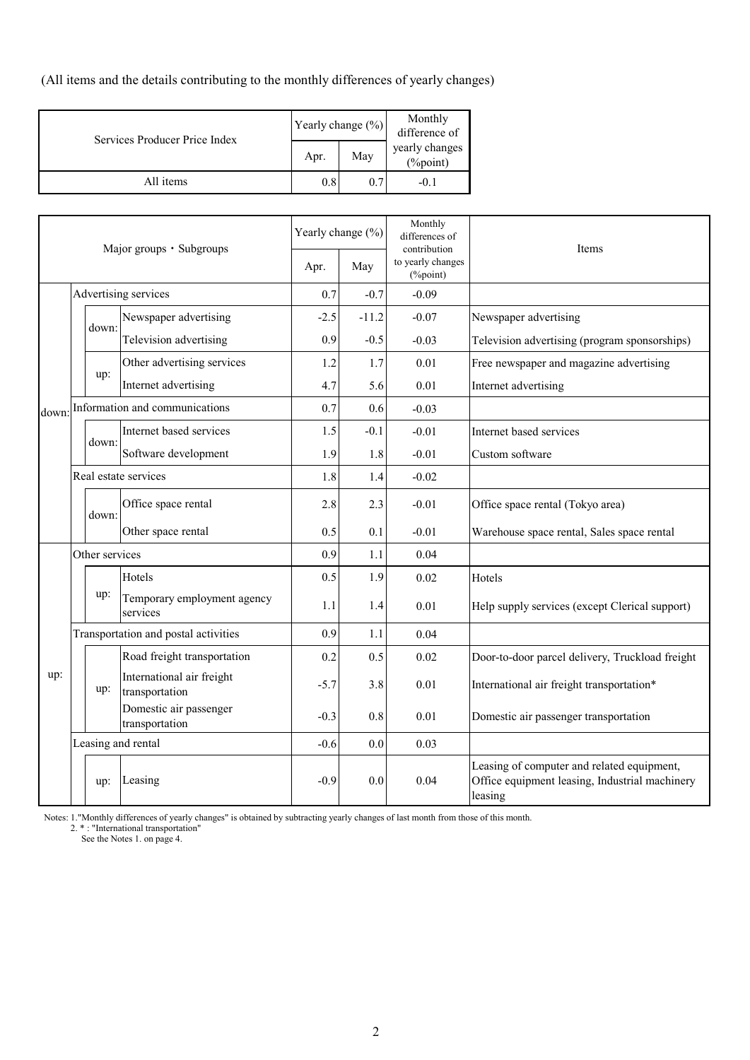(All items and the details contributing to the monthly differences of yearly changes)

| Services Producer Price Index |      | Yearly change $(\%)$ | Monthly<br>difference of   |  |  |
|-------------------------------|------|----------------------|----------------------------|--|--|
|                               | Apr. | May                  | yearly changes<br>(%point) |  |  |
| All items                     | 0.8  | 0.7                  | $-0.1$                     |  |  |

| Major groups · Subgroups |                | Yearly change (%)    |                                             | Monthly<br>differences of<br>contribution | Items   |                               |                                                                                                         |
|--------------------------|----------------|----------------------|---------------------------------------------|-------------------------------------------|---------|-------------------------------|---------------------------------------------------------------------------------------------------------|
|                          |                |                      |                                             | Apr.                                      | May     | to yearly changes<br>(%point) |                                                                                                         |
|                          |                |                      | Advertising services                        | 0.7                                       | $-0.7$  | $-0.09$                       |                                                                                                         |
|                          |                | down:                | Newspaper advertising                       | $-2.5$                                    | $-11.2$ | $-0.07$                       | Newspaper advertising                                                                                   |
|                          |                |                      | Television advertising                      | 0.9                                       | $-0.5$  | $-0.03$                       | Television advertising (program sponsorships)                                                           |
|                          |                |                      | Other advertising services                  | 1.2                                       | 1.7     | 0.01                          | Free newspaper and magazine advertising                                                                 |
|                          |                | up:                  | Internet advertising                        | 4.7                                       | 5.6     | 0.01                          | Internet advertising                                                                                    |
| down:                    |                |                      | Information and communications              | 0.7                                       | 0.6     | $-0.03$                       |                                                                                                         |
|                          |                |                      | Internet based services                     | 1.5                                       | $-0.1$  | $-0.01$                       | Internet based services                                                                                 |
|                          |                | down:                | Software development                        | 1.9                                       | 1.8     | $-0.01$                       | Custom software                                                                                         |
|                          |                | Real estate services |                                             | 1.8                                       | 1.4     | $-0.02$                       |                                                                                                         |
|                          |                | down:                | Office space rental                         | 2.8                                       | 2.3     | $-0.01$                       | Office space rental (Tokyo area)                                                                        |
|                          |                |                      | Other space rental                          | 0.5                                       | 0.1     | $-0.01$                       | Warehouse space rental, Sales space rental                                                              |
|                          | Other services |                      |                                             | 0.9                                       | 1.1     | 0.04                          |                                                                                                         |
|                          |                |                      | Hotels                                      | 0.5                                       | 1.9     | 0.02                          | Hotels                                                                                                  |
|                          |                | up:                  | Temporary employment agency<br>services     | 1.1                                       | 1.4     | 0.01                          | Help supply services (except Clerical support)                                                          |
|                          |                |                      | Transportation and postal activities        | 0.9                                       | 1.1     | 0.04                          |                                                                                                         |
|                          |                |                      | Road freight transportation                 | 0.2                                       | 0.5     | 0.02                          | Door-to-door parcel delivery, Truckload freight                                                         |
| up:                      |                | up:                  | International air freight<br>transportation | $-5.7$                                    | 3.8     | 0.01                          | International air freight transportation*                                                               |
|                          |                |                      | Domestic air passenger<br>transportation    | $-0.3$                                    | 0.8     | 0.01                          | Domestic air passenger transportation                                                                   |
|                          |                |                      | Leasing and rental                          | $-0.6$                                    | 0.0     | 0.03                          |                                                                                                         |
|                          |                | up:                  | Leasing                                     | $-0.9$                                    | 0.0     | 0.04                          | Leasing of computer and related equipment,<br>Office equipment leasing, Industrial machinery<br>leasing |

Notes: 1."Monthly differences of yearly changes" is obtained by subtracting yearly changes of last month from those of this month.

2.  $*$ : "International transportation"

See the Notes 1. on page 4.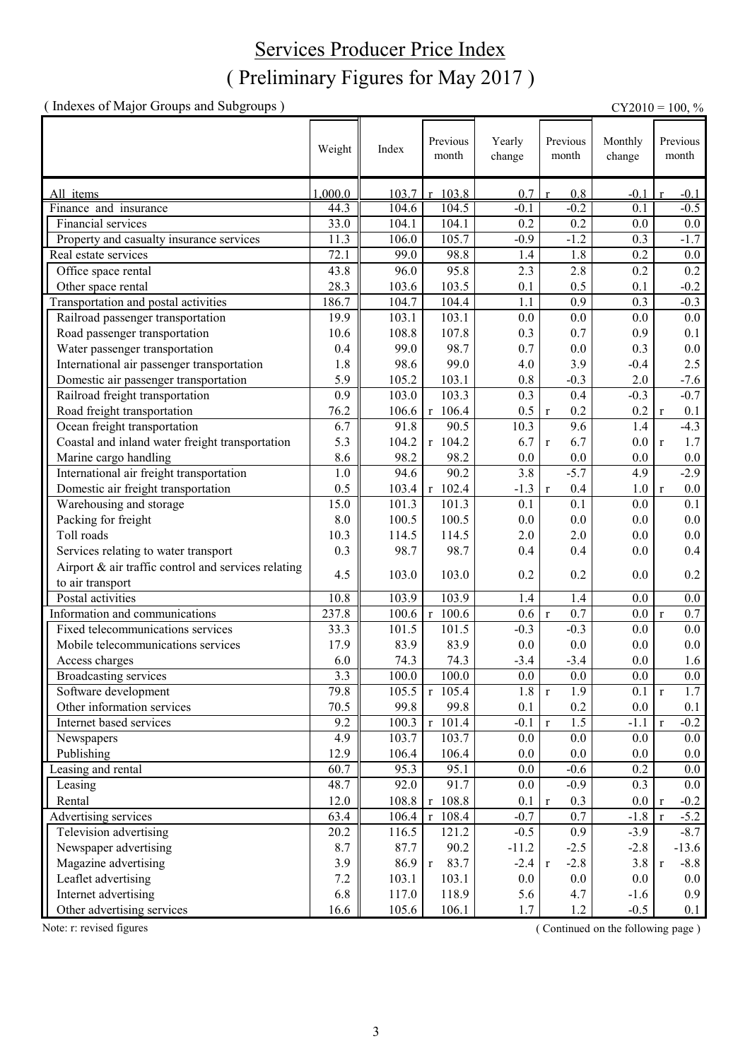### ( Preliminary Figures for May 2017 ) Services Producer Price Index

( Indexes of Major Groups and Subgroups ) CY2010 = 100, %

|                                                     | Weight  | Index | Previous<br>month     | Yearly<br>change | Previous<br>month     | Monthly<br>change | Previous<br>month       |
|-----------------------------------------------------|---------|-------|-----------------------|------------------|-----------------------|-------------------|-------------------------|
| All items                                           | 1,000.0 | 103.7 | 103.8<br>r            | 0.7              | 0.8<br>$\mathbf{r}$   | $-0.1$            | $-0.1$                  |
| Finance and insurance                               | 44.3    | 104.6 | 104.5                 | $-0.1$           | $-0.2$                | 0.1               | $-0.5$                  |
| Financial services                                  | 33.0    | 104.1 | 104.1                 | 0.2              | 0.2                   | 0.0               | $0.0\,$                 |
| Property and casualty insurance services            | 11.3    | 106.0 | 105.7                 | $-0.9$           | $-1.2$                | 0.3               | $-1.7$                  |
| Real estate services                                | 72.1    | 99.0  | 98.8                  | 1.4              | 1.8                   | 0.2               | $0.0\,$                 |
| Office space rental                                 | 43.8    | 96.0  | 95.8                  | 2.3              | 2.8                   | 0.2               | 0.2                     |
| Other space rental                                  | 28.3    | 103.6 | 103.5                 | 0.1              | 0.5                   | 0.1               | $-0.2$                  |
| Transportation and postal activities                | 186.7   | 104.7 | 104.4                 | 1.1              | $\overline{0.9}$      | 0.3               | $-0.3$                  |
| Railroad passenger transportation                   | 19.9    | 103.1 | 103.1                 | 0.0              | 0.0                   | 0.0               | 0.0                     |
| Road passenger transportation                       | 10.6    | 108.8 | 107.8                 | 0.3              | 0.7                   | 0.9               | 0.1                     |
| Water passenger transportation                      | 0.4     | 99.0  | 98.7                  | 0.7              | 0.0                   | 0.3               | $0.0\,$                 |
| International air passenger transportation          | 1.8     | 98.6  | 99.0                  | 4.0              | 3.9                   | $-0.4$            | 2.5                     |
| Domestic air passenger transportation               | 5.9     | 105.2 | 103.1                 | 0.8              | $-0.3$                | 2.0               | $-7.6$                  |
| Railroad freight transportation                     | 0.9     | 103.0 | 103.3                 | 0.3              | 0.4                   | $-0.3$            | $-0.7$                  |
| Road freight transportation                         | 76.2    | 106.6 | $r$ 106.4             | 0.5              | 0.2<br>$\mathbf r$    | 0.2               | 0.1<br>$\mathbf{r}$     |
| Ocean freight transportation                        | 6.7     | 91.8  | 90.5                  | 10.3             | 9.6                   | 1.4               | $-4.3$                  |
| Coastal and inland water freight transportation     | 5.3     | 104.2 | $r$ 104.2             | 6.7              | 6.7<br>$\mathbf r$    | 0.0               | 1.7<br>$\mathbf{r}$     |
| Marine cargo handling                               | 8.6     | 98.2  | 98.2                  | 0.0              | 0.0                   | $0.0\,$           | $0.0\,$                 |
| International air freight transportation            | 1.0     | 94.6  | 90.2                  | 3.8              | $-5.7$                | 4.9               | $-2.9$                  |
| Domestic air freight transportation                 | 0.5     | 103.4 | $r$ 102.4             | $-1.3$           | 0.4<br>$\mathbf r$    | 1.0               | $0.0\,$<br>$\mathbf{r}$ |
| Warehousing and storage                             | 15.0    | 101.3 | 101.3                 | 0.1              | 0.1                   | 0.0               | 0.1                     |
| Packing for freight                                 | 8.0     | 100.5 | 100.5                 | 0.0              | 0.0                   | 0.0               | 0.0                     |
| Toll roads                                          | 10.3    | 114.5 | 114.5                 | 2.0              | 2.0                   | 0.0               | $0.0\,$                 |
| Services relating to water transport                | 0.3     | 98.7  | 98.7                  | 0.4              | 0.4                   | 0.0               | 0.4                     |
| Airport & air traffic control and services relating | 4.5     |       |                       |                  |                       |                   |                         |
| to air transport                                    |         | 103.0 | 103.0                 | 0.2              | 0.2                   | 0.0               | 0.2                     |
| Postal activities                                   | 10.8    | 103.9 | 103.9                 | 1.4              | 1.4                   | 0.0               | $0.0\,$                 |
| Information and communications                      | 237.8   | 100.6 | 100.6<br>$\mathbf{r}$ | 0.6              | 0.7<br>$\mathbf r$    | 0.0               | 0.7<br>$\mathbf{r}$     |
| Fixed telecommunications services                   | 33.3    | 101.5 | 101.5                 | $-0.3$           | $-0.3$                | 0.0               | $0.0\,$                 |
| Mobile telecommunications services                  | 17.9    | 83.9  | 83.9                  | 0.0              | 0.0                   | 0.0               | $0.0\,$                 |
| Access charges                                      | 6.0     | 74.3  | 74.3                  | $-3.4$           | $-3.4$                | 0.0               | 1.6                     |
| <b>Broadcasting services</b>                        | 3.3     | 100.0 | 100.0                 | 0.0              | 0.0                   | $0.0\,$           | $0.0\,$                 |
| Software development                                | 79.8    | 105.5 | $r$ 105.4             | 1.8              | 1.9<br>$\mathbf r$    | 0.1               | 1.7<br>$\mathbf r$      |
| Other information services                          | 70.5    | 99.8  | 99.8                  | 0.1              | 0.2                   | $0.0\,$           | 0.1                     |
| Internet based services                             | 9.2     | 100.3 | $r$ 101.4             | $-0.1$           | 1.5<br>$\mathbf{r}$   | $-1.1$            | $-0.2$<br>$\mathbf{r}$  |
| Newspapers                                          | 4.9     | 103.7 | 103.7                 | 0.0              | 0.0                   | 0.0               | 0.0                     |
| Publishing                                          | 12.9    | 106.4 | 106.4                 | 0.0              | 0.0                   | $0.0\,$           | 0.0                     |
| Leasing and rental                                  | 60.7    | 95.3  | 95.1                  | 0.0              | $-0.6$                | 0.2               | 0.0                     |
| Leasing                                             | 48.7    | 92.0  | 91.7                  | 0.0              | $-0.9$                | 0.3               | 0.0                     |
| Rental                                              | 12.0    | 108.8 | $r$ 108.8             | 0.1              | 0.3<br>$\mathbf r$    | 0.0               | $-0.2$<br>$\mathbf{r}$  |
| Advertising services                                | 63.4    | 106.4 | 108.4<br>$\mathbf r$  | $-0.7$           | 0.7                   | $-1.8$            | $-5.2$<br>$\mathbf{r}$  |
| Television advertising                              | 20.2    | 116.5 | 121.2                 | $-0.5$           | 0.9                   | $-3.9$            | $-8.7$                  |
| Newspaper advertising                               | 8.7     | 87.7  | 90.2                  | $-11.2$          | $-2.5$                | $-2.8$            | $-13.6$                 |
| Magazine advertising                                | 3.9     | 86.9  | 83.7<br>$\mathbf{r}$  | $-2.4$           | $-2.8$<br>$\mathbf r$ | 3.8               | $-8.8$<br>$\mathbf{r}$  |
| Leaflet advertising                                 | $7.2\,$ | 103.1 | 103.1                 | 0.0              | $0.0\,$               | $0.0\,$           | $0.0\,$                 |
| Internet advertising                                | 6.8     | 117.0 | 118.9                 | 5.6              | 4.7                   | $-1.6$            | 0.9                     |
| Other advertising services                          | 16.6    | 105.6 | 106.1                 | 1.7              | 1.2                   | $-0.5$            | 0.1                     |

Note: r: revised figures (Continued on the following page)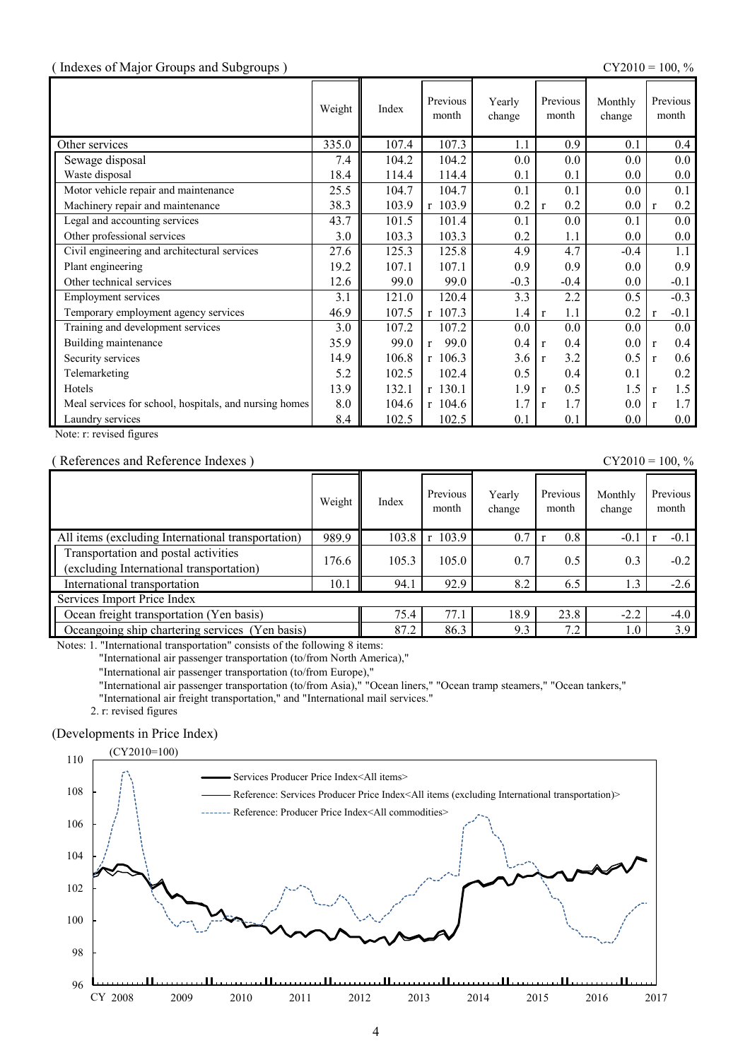#### ( Indexes of Major Groups and Subgroups ) CY2010 = 100, %

|                                                        | Weight | Index | Previous<br>month | Yearly<br>change | Previous<br>month   | Monthly<br>change | Previous<br>month      |
|--------------------------------------------------------|--------|-------|-------------------|------------------|---------------------|-------------------|------------------------|
| Other services                                         | 335.0  | 107.4 | 107.3             | 1.1              | 0.9                 | 0.1               | 0.4                    |
| Sewage disposal                                        | 7.4    | 104.2 | 104.2             | 0.0              | 0.0                 | 0.0               | 0.0                    |
| Waste disposal                                         | 18.4   | 114.4 | 114.4             | 0.1              | 0.1                 | $0.0\,$           | $0.0\,$                |
| Motor vehicle repair and maintenance                   | 25.5   | 104.7 | 104.7             | 0.1              | 0.1                 | $0.0\,$           | 0.1                    |
| Machinery repair and maintenance                       | 38.3   | 103.9 | r 103.9           | 0.2              | 0.2<br>$\mathbf{r}$ | 0.0               | 0.2<br>$\mathbf{r}$    |
| Legal and accounting services                          | 43.7   | 101.5 | 101.4             | 0.1              | 0.0                 | 0.1               | 0.0                    |
| Other professional services                            | 3.0    | 103.3 | 103.3             | 0.2              | 1.1                 | 0.0               | 0.0                    |
| Civil engineering and architectural services           | 27.6   | 125.3 | 125.8             | 4.9              | 4.7                 | $-0.4$            | 1.1                    |
| Plant engineering                                      | 19.2   | 107.1 | 107.1             | 0.9              | 0.9                 | 0.0               | 0.9                    |
| Other technical services                               | 12.6   | 99.0  | 99.0              | $-0.3$           | $-0.4$              | $0.0\,$           | $-0.1$                 |
| <b>Employment services</b>                             | 3.1    | 121.0 | 120.4             | 3.3              | 2.2                 | 0.5               | $-0.3$                 |
| Temporary employment agency services                   | 46.9   | 107.5 | r 107.3           | 1.4              | 1.1<br>$\mathbf{r}$ | 0.2               | $-0.1$<br>$\mathbf{r}$ |
| Training and development services                      | 3.0    | 107.2 | 107.2             | 0.0              | 0.0                 | 0.0               | 0.0                    |
| Building maintenance                                   | 35.9   | 99.0  | 99.0<br>r         | 0.4              | 0.4<br>$\mathbf{r}$ | $0.0\,$           | 0.4<br>$\mathbf{r}$    |
| Security services                                      | 14.9   | 106.8 | $r$ 106.3         | 3.6              | 3.2<br>$\mathbf{r}$ | 0.5               | 0.6<br>$\mathbf{r}$    |
| Telemarketing                                          | 5.2    | 102.5 | 102.4             | 0.5              | 0.4                 | 0.1               | 0.2                    |
| Hotels                                                 | 13.9   | 132.1 | $r$ 130.1         | 1.9              | 0.5<br>$\mathbf{r}$ | 1.5               | 1.5<br>$\mathbf{r}$    |
| Meal services for school, hospitals, and nursing homes | 8.0    | 104.6 | $r$ 104.6         | 1.7              | 1.7<br>$\mathbf{r}$ | $0.0\,$           | 1.7<br>$\mathbf{r}$    |
| Laundry services                                       | 8.4    | 102.5 | 102.5             | 0.1              | 0.1                 | 0.0               | $0.0\,$                |

Note: r: revised figures

#### ( References and Reference Indexes )  $CY2010 = 100, \%$

|                                                                                  | Weight | Index | Previous<br>month | Yearly<br>change | Previous<br>month | Monthly<br>change | Previous<br>month |
|----------------------------------------------------------------------------------|--------|-------|-------------------|------------------|-------------------|-------------------|-------------------|
| All items (excluding International transportation)                               | 989.9  | 103.8 | 103.9<br>r        | 0.7              | 0.8               | $-0.1$            | $-0.1$            |
| Transportation and postal activities<br>(excluding International transportation) | 176.6  | 105.3 | 105.0             | 0.7              | 0.5               | 0.3               | $-0.2$            |
| International transportation                                                     | 10.1   | 94.1  | 92.9              | 8.2              | 6.5               | 1.3               | $-2.6$            |
| Services Import Price Index                                                      |        |       |                   |                  |                   |                   |                   |
| Ocean freight transportation (Yen basis)                                         | 75.4   | 77.1  | 18.9              | 23.8             | $-2.2$            | $-4.0$            |                   |
| Cocangoing ship chartering services (Yen basis)                                  |        | 87.2  | 86.3              | 9.3              | 7.2               | 1.0               | 3.9               |

Notes: 1. "International transportation" consists of the following 8 items:

"International air passenger transportation (to/from North America),"

"International air passenger transportation (to/from Europe),"

"International air passenger transportation (to/from Asia)," "Ocean liners," "Ocean tramp steamers," "Ocean tankers,"

"International air freight transportation," and "International mail services."

2. r: revised figures

#### (Developments in Price Index)